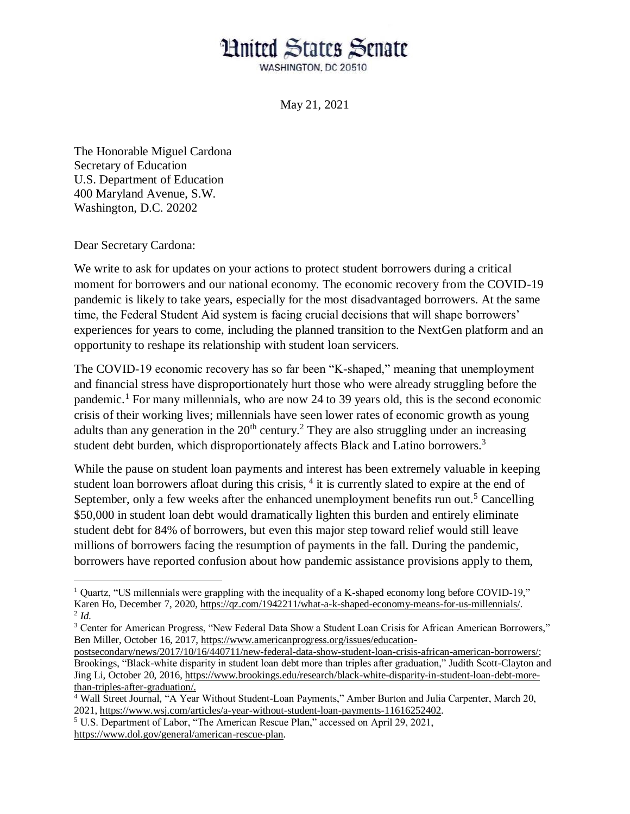## **Hnited States Senate**

WASHINGTON, DC 20510

May 21, 2021

The Honorable Miguel Cardona Secretary of Education U.S. Department of Education 400 Maryland Avenue, S.W. Washington, D.C. 20202

Dear Secretary Cardona:

We write to ask for updates on your actions to protect student borrowers during a critical moment for borrowers and our national economy. The economic recovery from the COVID-19 pandemic is likely to take years, especially for the most disadvantaged borrowers. At the same time, the Federal Student Aid system is facing crucial decisions that will shape borrowers' experiences for years to come, including the planned transition to the NextGen platform and an opportunity to reshape its relationship with student loan servicers.

The COVID-19 economic recovery has so far been "K-shaped," meaning that unemployment and financial stress have disproportionately hurt those who were already struggling before the pandemic.<sup>1</sup> For many millennials, who are now 24 to 39 years old, this is the second economic crisis of their working lives; millennials have seen lower rates of economic growth as young adults than any generation in the  $20<sup>th</sup>$  century.<sup>2</sup> They are also struggling under an increasing student debt burden, which disproportionately affects Black and Latino borrowers.<sup>3</sup>

While the pause on student loan payments and interest has been extremely valuable in keeping student loan borrowers afloat during this crisis, <sup>4</sup> it is currently slated to expire at the end of September, only a few weeks after the enhanced unemployment benefits run out.<sup>5</sup> Cancelling \$50,000 in student loan debt would dramatically lighten this burden and entirely eliminate student debt for 84% of borrowers, but even this major step toward relief would still leave millions of borrowers facing the resumption of payments in the fall. During the pandemic, borrowers have reported confusion about how pandemic assistance provisions apply to them,

 $\overline{a}$ <sup>1</sup> Quartz, "US millennials were grappling with the inequality of a K-shaped economy long before COVID-19," Karen Ho, December 7, 2020[, https://qz.com/1942211/what-a-k-shaped-economy-means-for-us-millennials/.](https://qz.com/1942211/what-a-k-shaped-economy-means-for-us-millennials/) 2 *Id.* 

<sup>&</sup>lt;sup>3</sup> Center for American Progress, "New Federal Data Show a Student Loan Crisis for African American Borrowers," Ben Miller, October 16, 2017, [https://www.americanprogress.org/issues/education-](https://www.americanprogress.org/issues/education-postsecondary/news/2017/10/16/440711/new-federal-data-show-student-loan-crisis-african-american-borrowers/)

[postsecondary/news/2017/10/16/440711/new-federal-data-show-student-loan-crisis-african-american-borrowers/;](https://www.americanprogress.org/issues/education-postsecondary/news/2017/10/16/440711/new-federal-data-show-student-loan-crisis-african-american-borrowers/) Brookings, "Black-white disparity in student loan debt more than triples after graduation," Judith Scott-Clayton and Jing Li, October 20, 2016, [https://www.brookings.edu/research/black-white-disparity-in-student-loan-debt-more](https://www.brookings.edu/research/black-white-disparity-in-student-loan-debt-more-than-triples-after-graduation/)[than-triples-after-graduation/.](https://www.brookings.edu/research/black-white-disparity-in-student-loan-debt-more-than-triples-after-graduation/)

<sup>4</sup> Wall Street Journal, "A Year Without Student-Loan Payments," Amber Burton and Julia Carpenter, March 20, 2021, [https://www.wsj.com/articles/a-year-without-student-loan-payments-11616252402.](https://www.wsj.com/articles/a-year-without-student-loan-payments-11616252402)

<sup>5</sup> U.S. Department of Labor, "The American Rescue Plan," accessed on April 29, 2021, [https://www.dol.gov/general/american-rescue-plan.](https://www.dol.gov/general/american-rescue-plan)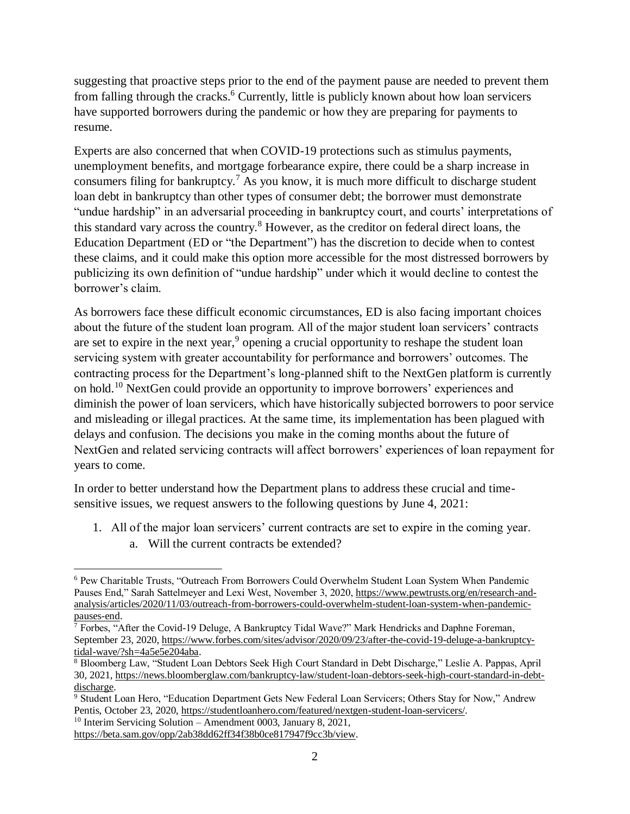suggesting that proactive steps prior to the end of the payment pause are needed to prevent them from falling through the cracks.<sup>6</sup> Currently, little is publicly known about how loan servicers have supported borrowers during the pandemic or how they are preparing for payments to resume.

Experts are also concerned that when COVID-19 protections such as stimulus payments, unemployment benefits, and mortgage forbearance expire, there could be a sharp increase in consumers filing for bankruptcy.<sup>7</sup> As you know, it is much more difficult to discharge student loan debt in bankruptcy than other types of consumer debt; the borrower must demonstrate "undue hardship" in an adversarial proceeding in bankruptcy court, and courts' interpretations of this standard vary across the country.<sup>8</sup> However, as the creditor on federal direct loans, the Education Department (ED or "the Department") has the discretion to decide when to contest these claims, and it could make this option more accessible for the most distressed borrowers by publicizing its own definition of "undue hardship" under which it would decline to contest the borrower's claim.

As borrowers face these difficult economic circumstances, ED is also facing important choices about the future of the student loan program. All of the major student loan servicers' contracts are set to expire in the next year,<sup>9</sup> opening a crucial opportunity to reshape the student loan servicing system with greater accountability for performance and borrowers' outcomes. The contracting process for the Department's long-planned shift to the NextGen platform is currently on hold.<sup>10</sup> NextGen could provide an opportunity to improve borrowers' experiences and diminish the power of loan servicers, which have historically subjected borrowers to poor service and misleading or illegal practices. At the same time, its implementation has been plagued with delays and confusion. The decisions you make in the coming months about the future of NextGen and related servicing contracts will affect borrowers' experiences of loan repayment for years to come.

In order to better understand how the Department plans to address these crucial and timesensitive issues, we request answers to the following questions by June 4, 2021:

- 1. All of the major loan servicers' current contracts are set to expire in the coming year.
	- a. Will the current contracts be extended?

<sup>10</sup> Interim Servicing Solution – Amendment 0003, January 8, 2021,

[https://beta.sam.gov/opp/2ab38dd62ff34f38b0ce817947f9cc3b/view.](https://beta.sam.gov/opp/2ab38dd62ff34f38b0ce817947f9cc3b/view)

 $\overline{\phantom{a}}$ <sup>6</sup> Pew Charitable Trusts, "Outreach From Borrowers Could Overwhelm Student Loan System When Pandemic Pauses End," Sarah Sattelmeyer and Lexi West, November 3, 2020, [https://www.pewtrusts.org/en/research-and](https://www.pewtrusts.org/en/research-and-analysis/articles/2020/11/03/outreach-from-borrowers-could-overwhelm-student-loan-system-when-pandemic-pauses-end)[analysis/articles/2020/11/03/outreach-from-borrowers-could-overwhelm-student-loan-system-when-pandemic](https://www.pewtrusts.org/en/research-and-analysis/articles/2020/11/03/outreach-from-borrowers-could-overwhelm-student-loan-system-when-pandemic-pauses-end)[pauses-end.](https://www.pewtrusts.org/en/research-and-analysis/articles/2020/11/03/outreach-from-borrowers-could-overwhelm-student-loan-system-when-pandemic-pauses-end)

 $\bar{7}$  Forbes, "After the Covid-19 Deluge, A Bankruptcy Tidal Wave?" Mark Hendricks and Daphne Foreman, September 23, 2020, [https://www.forbes.com/sites/advisor/2020/09/23/after-the-covid-19-deluge-a-bankruptcy](https://www.forbes.com/sites/advisor/2020/09/23/after-the-covid-19-deluge-a-bankruptcy-tidal-wave/?sh=4a5e5e204aba)[tidal-wave/?sh=4a5e5e204aba.](https://www.forbes.com/sites/advisor/2020/09/23/after-the-covid-19-deluge-a-bankruptcy-tidal-wave/?sh=4a5e5e204aba)

<sup>8</sup> Bloomberg Law, "Student Loan Debtors Seek High Court Standard in Debt Discharge," Leslie A. Pappas, April 30, 2021, [https://news.bloomberglaw.com/bankruptcy-law/student-loan-debtors-seek-high-court-standard-in-debt](https://news.bloomberglaw.com/bankruptcy-law/student-loan-debtors-seek-high-court-standard-in-debt-discharge)[discharge.](https://news.bloomberglaw.com/bankruptcy-law/student-loan-debtors-seek-high-court-standard-in-debt-discharge) 

<sup>9</sup> Student Loan Hero, "Education Department Gets New Federal Loan Servicers; Others Stay for Now," Andrew Pentis, October 23, 2020, [https://studentloanhero.com/featured/nextgen-student-loan-servicers/.](https://studentloanhero.com/featured/nextgen-student-loan-servicers/)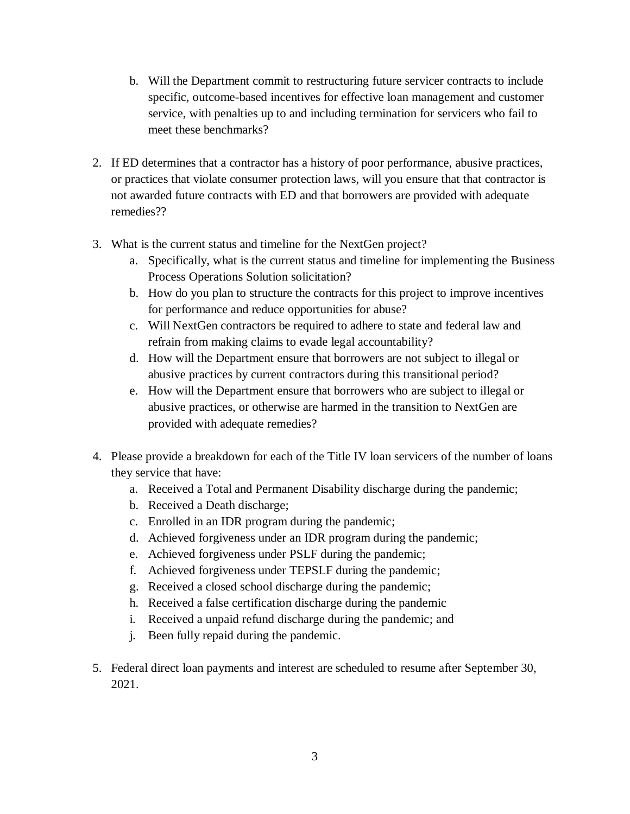- b. Will the Department commit to restructuring future servicer contracts to include specific, outcome-based incentives for effective loan management and customer service, with penalties up to and including termination for servicers who fail to meet these benchmarks?
- 2. If ED determines that a contractor has a history of poor performance, abusive practices, or practices that violate consumer protection laws, will you ensure that that contractor is not awarded future contracts with ED and that borrowers are provided with adequate remedies??
- 3. What is the current status and timeline for the NextGen project?
	- a. Specifically, what is the current status and timeline for implementing the Business Process Operations Solution solicitation?
	- b. How do you plan to structure the contracts for this project to improve incentives for performance and reduce opportunities for abuse?
	- c. Will NextGen contractors be required to adhere to state and federal law and refrain from making claims to evade legal accountability?
	- d. How will the Department ensure that borrowers are not subject to illegal or abusive practices by current contractors during this transitional period?
	- e. How will the Department ensure that borrowers who are subject to illegal or abusive practices, or otherwise are harmed in the transition to NextGen are provided with adequate remedies?
- 4. Please provide a breakdown for each of the Title IV loan servicers of the number of loans they service that have:
	- a. Received a Total and Permanent Disability discharge during the pandemic;
	- b. Received a Death discharge;
	- c. Enrolled in an IDR program during the pandemic;
	- d. Achieved forgiveness under an IDR program during the pandemic;
	- e. Achieved forgiveness under PSLF during the pandemic;
	- f. Achieved forgiveness under TEPSLF during the pandemic;
	- g. Received a closed school discharge during the pandemic;
	- h. Received a false certification discharge during the pandemic
	- i. Received a unpaid refund discharge during the pandemic; and
	- j. Been fully repaid during the pandemic.
- 5. Federal direct loan payments and interest are scheduled to resume after September 30, 2021.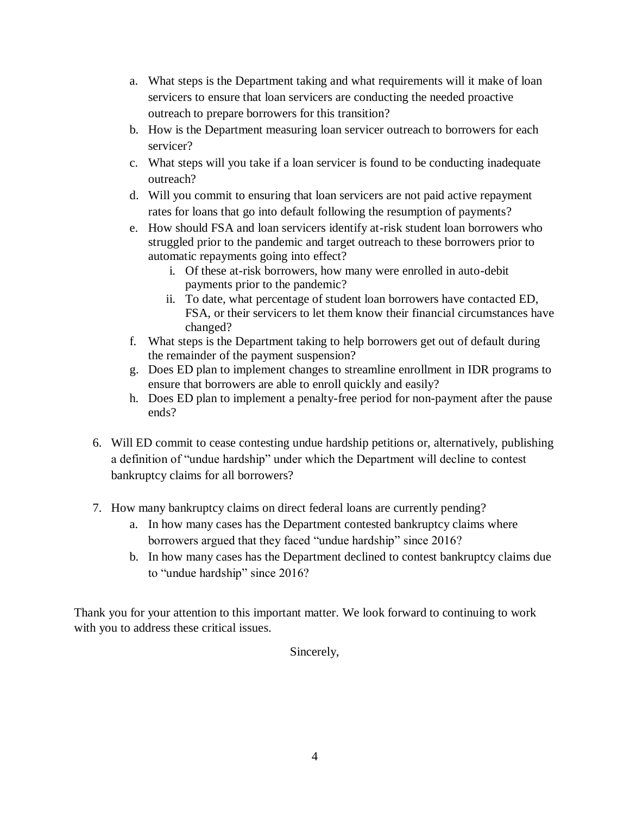- a. What steps is the Department taking and what requirements will it make of loan servicers to ensure that loan servicers are conducting the needed proactive outreach to prepare borrowers for this transition?
- b. How is the Department measuring loan servicer outreach to borrowers for each servicer?
- c. What steps will you take if a loan servicer is found to be conducting inadequate outreach?
- d. Will you commit to ensuring that loan servicers are not paid active repayment rates for loans that go into default following the resumption of payments?
- e. How should FSA and loan servicers identify at-risk student loan borrowers who struggled prior to the pandemic and target outreach to these borrowers prior to automatic repayments going into effect?
	- i. Of these at-risk borrowers, how many were enrolled in auto-debit payments prior to the pandemic?
	- ii. To date, what percentage of student loan borrowers have contacted ED, FSA, or their servicers to let them know their financial circumstances have changed?
- f. What steps is the Department taking to help borrowers get out of default during the remainder of the payment suspension?
- g. Does ED plan to implement changes to streamline enrollment in IDR programs to ensure that borrowers are able to enroll quickly and easily?
- h. Does ED plan to implement a penalty-free period for non-payment after the pause ends?
- 6. Will ED commit to cease contesting undue hardship petitions or, alternatively, publishing a definition of "undue hardship" under which the Department will decline to contest bankruptcy claims for all borrowers?
- 7. How many bankruptcy claims on direct federal loans are currently pending?
	- a. In how many cases has the Department contested bankruptcy claims where borrowers argued that they faced "undue hardship" since 2016?
	- b. In how many cases has the Department declined to contest bankruptcy claims due to "undue hardship" since 2016?

Thank you for your attention to this important matter. We look forward to continuing to work with you to address these critical issues.

Sincerely,